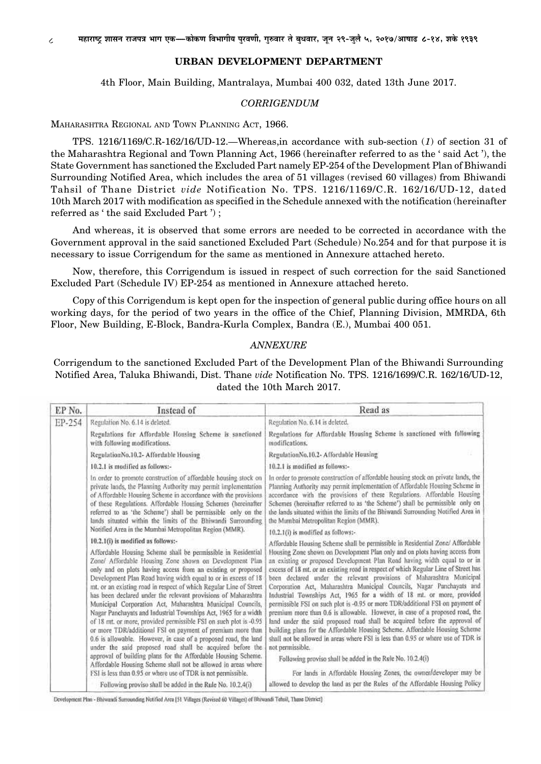## **URBAN DEVELOPMENT DEPARTMENT**

4th Floor, Main Building, Mantralaya, Mumbai 400 032, dated 13th June 2017.

## CORRIGENDUM

MAHARASHTRA REGIONAL AND TOWN PLANNING ACT, 1966.

TPS. 1216/1169/C.R-162/16/UD-12.—Whereas,in accordance with sub-section (1) of section 31 of the Maharashtra Regional and Town Planning Act, 1966 (hereinafter referred to as the 'said Act'), the State Government has sanctioned the Excluded Part namely EP-254 of the Development Plan of Bhiwandi Surrounding Notified Area, which includes the area of 51 villages (revised 60 villages) from Bhiwandi Tahsil of Thane District vide Notification No. TPS. 1216/1169/C.R. 162/16/UD-12, dated 10th March 2017 with modification as specified in the Schedule annexed with the notification (hereinafter referred as 'the said Excluded Part');

And whereas, it is observed that some errors are needed to be corrected in accordance with the Government approval in the said sanctioned Excluded Part (Schedule) No.254 and for that purpose it is necessary to issue Corrigendum for the same as mentioned in Annexure attached hereto.

Now, therefore, this Corrigendum is issued in respect of such correction for the said Sanctioned Excluded Part (Schedule IV) EP-254 as mentioned in Annexure attached hereto.

Copy of this Corrigendum is kept open for the inspection of general public during office hours on all working days, for the period of two years in the office of the Chief, Planning Division, MMRDA, 6th Floor, New Building, E-Block, Bandra-Kurla Complex, Bandra (E.), Mumbai 400 051.

## **ANNEXURE**

Corrigendum to the sanctioned Excluded Part of the Development Plan of the Bhiwandi Surrounding Notified Area, Taluka Bhiwandi, Dist. Thane vide Notification No. TPS. 1216/1699/C.R. 162/16/UD-12, dated the 10th March 2017.

| Regulation No. 6.14 is deleted.<br>Regulations for Affordable Housing Scheme is sanctioned<br>with following modifications.<br>RegulationNo.10.2- Affordable Housing                                                                                                                                                                                                                                                                                                                                                                                                                                                                                                                                                                                                                                                                                                                                                                                                                                       | Regulation No. 6.14 is deleted,<br>Regulations for Affordable Housing Scheme is sanctioned with following<br>modifications.                                                                                                                                                                                                                                                                                                                                                                                                                                                                                                                                                                                                                                                                                                                                                                                                                                                                                                                                                                                                            |
|------------------------------------------------------------------------------------------------------------------------------------------------------------------------------------------------------------------------------------------------------------------------------------------------------------------------------------------------------------------------------------------------------------------------------------------------------------------------------------------------------------------------------------------------------------------------------------------------------------------------------------------------------------------------------------------------------------------------------------------------------------------------------------------------------------------------------------------------------------------------------------------------------------------------------------------------------------------------------------------------------------|----------------------------------------------------------------------------------------------------------------------------------------------------------------------------------------------------------------------------------------------------------------------------------------------------------------------------------------------------------------------------------------------------------------------------------------------------------------------------------------------------------------------------------------------------------------------------------------------------------------------------------------------------------------------------------------------------------------------------------------------------------------------------------------------------------------------------------------------------------------------------------------------------------------------------------------------------------------------------------------------------------------------------------------------------------------------------------------------------------------------------------------|
|                                                                                                                                                                                                                                                                                                                                                                                                                                                                                                                                                                                                                                                                                                                                                                                                                                                                                                                                                                                                            |                                                                                                                                                                                                                                                                                                                                                                                                                                                                                                                                                                                                                                                                                                                                                                                                                                                                                                                                                                                                                                                                                                                                        |
|                                                                                                                                                                                                                                                                                                                                                                                                                                                                                                                                                                                                                                                                                                                                                                                                                                                                                                                                                                                                            |                                                                                                                                                                                                                                                                                                                                                                                                                                                                                                                                                                                                                                                                                                                                                                                                                                                                                                                                                                                                                                                                                                                                        |
|                                                                                                                                                                                                                                                                                                                                                                                                                                                                                                                                                                                                                                                                                                                                                                                                                                                                                                                                                                                                            | RegulationNo.10.2- Affordable Housing                                                                                                                                                                                                                                                                                                                                                                                                                                                                                                                                                                                                                                                                                                                                                                                                                                                                                                                                                                                                                                                                                                  |
| 10.2.1 is modified as follows:-                                                                                                                                                                                                                                                                                                                                                                                                                                                                                                                                                                                                                                                                                                                                                                                                                                                                                                                                                                            | 10.2.1 is modified as follows:-                                                                                                                                                                                                                                                                                                                                                                                                                                                                                                                                                                                                                                                                                                                                                                                                                                                                                                                                                                                                                                                                                                        |
| In order to promote construction of affordable housing stock on<br>private lands, the Planning Authority may permit implementation<br>of Affordable Housing Scheme in accordance with the provisions<br>of these Regulations. Affordable Housing Schemes (hereinafter<br>referred to as 'the Scheme') shall be permissible only on the<br>lands situated within the limits of the Bhiwandi Surrounding                                                                                                                                                                                                                                                                                                                                                                                                                                                                                                                                                                                                     | In order to promote construction of affordable housing stock on private lands, the<br>Planning Authority may permit implementation of Affordable Housing Scheme in<br>accordance with the provisions of these Regulations. Affordable Housing<br>Schemes (hereinafter referred to as 'the Scheme') shall be permissible only on<br>the lands situated within the limits of the Bhiwandi Surrounding Notified Area in<br>the Mumbai Metropolitan Region (MMR).                                                                                                                                                                                                                                                                                                                                                                                                                                                                                                                                                                                                                                                                          |
|                                                                                                                                                                                                                                                                                                                                                                                                                                                                                                                                                                                                                                                                                                                                                                                                                                                                                                                                                                                                            | 10.2.1(i) is modified as follows:-                                                                                                                                                                                                                                                                                                                                                                                                                                                                                                                                                                                                                                                                                                                                                                                                                                                                                                                                                                                                                                                                                                     |
| Affordable Housing Scheme shall be permissible in Residential<br>Zone/ Affordable Housing Zone shown on Development Plan-<br>only and on plots having access from an existing or proposed<br>Development Plan Road having width equal to or in excess of 18<br>mt, or an existing road in respect of which Regular Line of Street<br>has been declared under the relevant provisions of Maharashtra<br>Municipal Corporation Act, Maharashtra Municipal Councils,<br>Nagar Panchayats and Industrial Townships Act, 1965 for a width<br>of 18 mt. or more, provided permissible FSI on such plot is -0.95<br>or more TDR/additional FSI on payment of premium more than<br>0.6 is allowable. However, in case of a proposed road, the land<br>under the said proposed road shall be acquired before the<br>approval of building plans for the Affordable Housing Scheme.<br>Affordable Housing Scheme shall not be allowed in areas where<br>FSI is less than 0.95 or where use of TDR is not permissible. | Affordable Housing Scheme shall be permissible in Residential Zone/ Affordable<br>Housing Zone shown on Development Plan only and on plots having access from<br>an existing or proposed Development Plan Road having width equal to or in<br>excess of 18 mt, or an existing road in respect of which Regular Line of Street has<br>been declared under the relevant provisions of Maharashtra Municipal<br>Corporation Act, Maharashtra Municipal Councils, Nagar Panchayats and<br>Industrial Townships Act, 1965 for a width of 18 mt. or more, provided<br>permissible FSI on such plot is -0.95 or more TDR/additional FSI on payment of<br>premium more than 0.6 is allowable. However, in case of a proposed road, the<br>land under the said proposed road shall be acquired before the approval of<br>building plans for the Affordable Housing Scheme. Affordable Housing Scheme<br>shall not be allowed in areas where FSI is less than 0.95 or where use of TDR is<br>not permissible.<br>Following proviso shall be added in the Rule No. 10.2.4(i)<br>For lands in Affordable Housing Zones, the owner/developer may be |
|                                                                                                                                                                                                                                                                                                                                                                                                                                                                                                                                                                                                                                                                                                                                                                                                                                                                                                                                                                                                            | Notified Area in the Mumbai Metropolitan Region (MMR).<br>10.2.1(i) is modified as follows:-<br>Following proviso shall be added in the Rule No. 10.2.4(i)                                                                                                                                                                                                                                                                                                                                                                                                                                                                                                                                                                                                                                                                                                                                                                                                                                                                                                                                                                             |

Development Plan - Bhiwandi Surrounding Notified Area [51 Villages (Revised 60 Villages) of Bhiwandi Tehsil, Thane District]